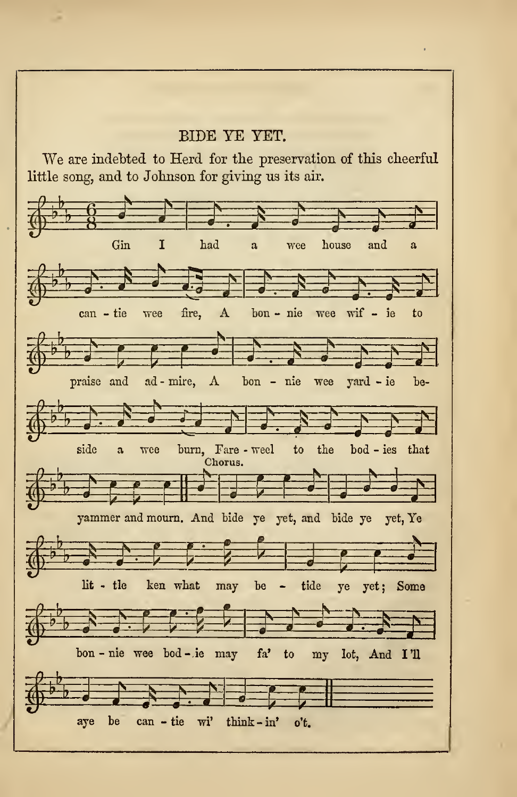## BIDE YE YET.

We are indebted to Herd for the preservation of this cheerful little song, and to Johnson for giving ns its air.